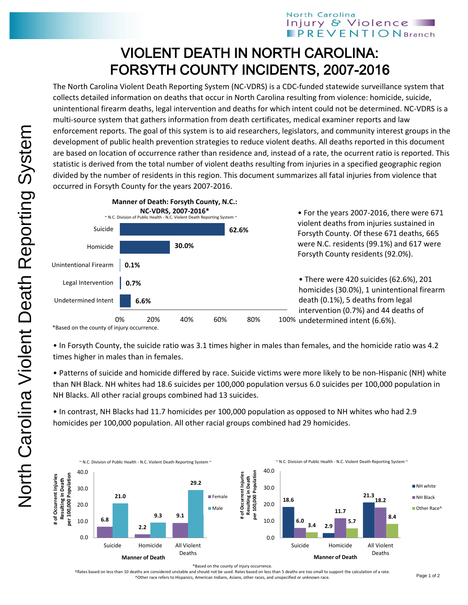## VIOLENT DEATH IN NORTH CAROLINA: FORSYTH COUNTY INCIDENTS, 2007-2016

The North Carolina Violent Death Reporting System (NC-VDRS) is a CDC-funded statewide surveillance system that collects detailed information on deaths that occur in North Carolina resulting from violence: homicide, suicide, unintentional firearm deaths, legal intervention and deaths for which intent could not be determined. NC-VDRS is a multi-source system that gathers information from death certificates, medical examiner reports and law enforcement reports. The goal of this system is to aid researchers, legislators, and community interest groups in the development of public health prevention strategies to reduce violent deaths. All deaths reported in this document are based on location of occurrence rather than residence and, instead of a rate, the ocurrent ratio is reported. This statistic is derived from the total number of violent deaths resulting from injuries in a specified geographic region divided by the number of residents in this region. This document summarizes all fatal injuries from violence that occurred in Forsyth County for the years 2007-2016.



\*Based on the county of injury occurrence.

• In Forsyth County, the suicide ratio was 3.1 times higher in males than females, and the homicide ratio was 4.2 times higher in males than in females.

• Patterns of suicide and homicide differed by race. Suicide victims were more likely to be non-Hispanic (NH) white than NH Black. NH whites had 18.6 suicides per 100,000 population versus 6.0 suicides per 100,000 population in NH Blacks. All other racial groups combined had 13 suicides.

• In contrast, NH Blacks had 11.7 homicides per 100,000 population as opposed to NH whites who had 2.9 homicides per 100,000 population. All other racial groups combined had 29 homicides.



\*Based on the county of injury occurrence.

†Rates based on less than 10 deaths are considered unstable and should not be used. Rates based on less than 5 deaths are too small to support the calculation of a rate. ^Other race refers to Hispanics, American Indians, Asians, other races, and unspecified or unknown race.